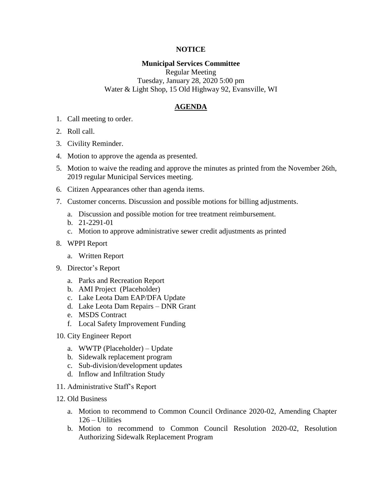## **NOTICE**

## **Municipal Services Committee**

Regular Meeting Tuesday, January 28, 2020 5:00 pm Water & Light Shop, 15 Old Highway 92, Evansville, WI

## **AGENDA**

- 1. Call meeting to order.
- 2. Roll call.
- 3. Civility Reminder.
- 4. Motion to approve the agenda as presented.
- 5. Motion to waive the reading and approve the minutes as printed from the November 26th, 2019 regular Municipal Services meeting.
- 6. Citizen Appearances other than agenda items.
- 7. Customer concerns. Discussion and possible motions for billing adjustments.
	- a. Discussion and possible motion for tree treatment reimbursement.
	- b. 21-2291-01
	- c. Motion to approve administrative sewer credit adjustments as printed
- 8. WPPI Report
	- a. Written Report
- 9. Director's Report
	- a. Parks and Recreation Report
	- b. AMI Project (Placeholder)
	- c. Lake Leota Dam EAP/DFA Update
	- d. Lake Leota Dam Repairs DNR Grant
	- e. MSDS Contract
	- f. Local Safety Improvement Funding
- 10. City Engineer Report
	- a. WWTP (Placeholder) Update
	- b. Sidewalk replacement program
	- c. Sub-division/development updates
	- d. Inflow and Infiltration Study
- 11. Administrative Staff's Report
- 12. Old Business
	- a. Motion to recommend to Common Council Ordinance 2020-02, Amending Chapter 126 – Utilities
	- b. Motion to recommend to Common Council Resolution 2020-02, Resolution Authorizing Sidewalk Replacement Program